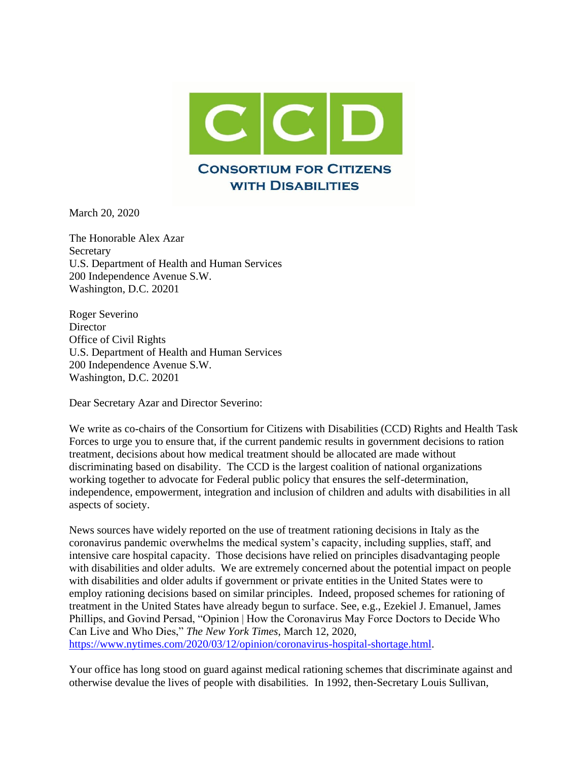

March 20, 2020

The Honorable Alex Azar **Secretary** U.S. Department of Health and Human Services 200 Independence Avenue S.W. Washington, D.C. 20201

Roger Severino **Director** Office of Civil Rights U.S. Department of Health and Human Services 200 Independence Avenue S.W. Washington, D.C. 20201

Dear Secretary Azar and Director Severino:

We write as co-chairs of the Consortium for Citizens with Disabilities (CCD) Rights and Health Task Forces to urge you to ensure that, if the current pandemic results in government decisions to ration treatment, decisions about how medical treatment should be allocated are made without discriminating based on disability. The CCD is the largest coalition of national organizations working together to advocate for Federal public policy that ensures the self-determination, independence, empowerment, integration and inclusion of children and adults with disabilities in all aspects of society.

News sources have widely reported on the use of treatment rationing decisions in Italy as the coronavirus pandemic overwhelms the medical system's capacity, including supplies, staff, and intensive care hospital capacity. Those decisions have relied on principles disadvantaging people with disabilities and older adults. We are extremely concerned about the potential impact on people with disabilities and older adults if government or private entities in the United States were to employ rationing decisions based on similar principles. Indeed, proposed schemes for rationing of treatment in the United States have already begun to surface. See, e.g., Ezekiel J. Emanuel, James Phillips, and Govind Persad, "Opinion | How the Coronavirus May Force Doctors to Decide Who Can Live and Who Dies," *The New York Times*, March 12, 2020, [https://www.nytimes.com/2020/03/12/opinion/coronavirus-hospital-shortage.html.](https://www.nytimes.com/2020/03/12/opinion/coronavirus-hospital-shortage.html)

Your office has long stood on guard against medical rationing schemes that discriminate against and otherwise devalue the lives of people with disabilities. In 1992, then-Secretary Louis Sullivan,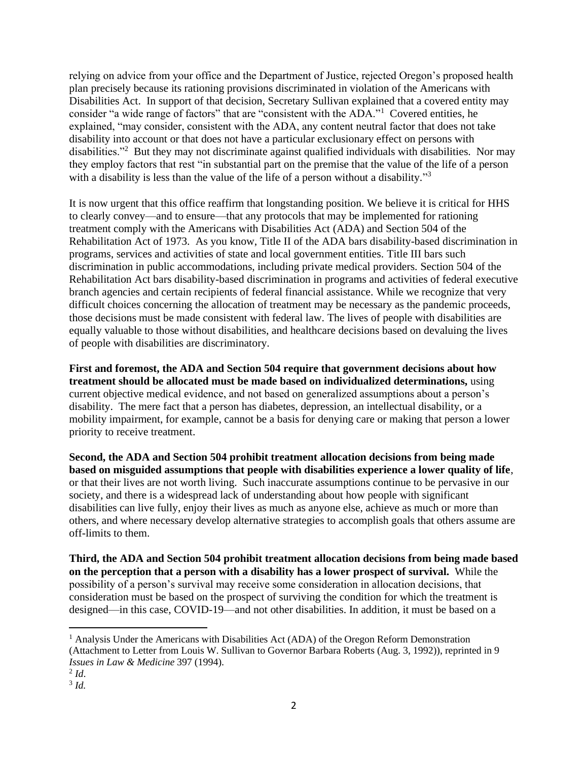relying on advice from your office and the Department of Justice, rejected Oregon's proposed health plan precisely because its rationing provisions discriminated in violation of the Americans with Disabilities Act. In support of that decision, Secretary Sullivan explained that a covered entity may consider "a wide range of factors" that are "consistent with the ADA."<sup>1</sup> Covered entities, he explained, "may consider, consistent with the ADA, any content neutral factor that does not take disability into account or that does not have a particular exclusionary effect on persons with disabilities."<sup>2</sup> But they may not discriminate against qualified individuals with disabilities. Nor may they employ factors that rest "in substantial part on the premise that the value of the life of a person with a disability is less than the value of the life of a person without a disability."<sup>3</sup>

It is now urgent that this office reaffirm that longstanding position. We believe it is critical for HHS to clearly convey—and to ensure—that any protocols that may be implemented for rationing treatment comply with the Americans with Disabilities Act (ADA) and Section 504 of the Rehabilitation Act of 1973. As you know, Title II of the ADA bars disability-based discrimination in programs, services and activities of state and local government entities. Title III bars such discrimination in public accommodations, including private medical providers. Section 504 of the Rehabilitation Act bars disability-based discrimination in programs and activities of federal executive branch agencies and certain recipients of federal financial assistance. While we recognize that very difficult choices concerning the allocation of treatment may be necessary as the pandemic proceeds, those decisions must be made consistent with federal law. The lives of people with disabilities are equally valuable to those without disabilities, and healthcare decisions based on devaluing the lives of people with disabilities are discriminatory.

**First and foremost, the ADA and Section 504 require that government decisions about how treatment should be allocated must be made based on individualized determinations,** using current objective medical evidence, and not based on generalized assumptions about a person's disability. The mere fact that a person has diabetes, depression, an intellectual disability, or a mobility impairment, for example, cannot be a basis for denying care or making that person a lower priority to receive treatment.

**Second, the ADA and Section 504 prohibit treatment allocation decisions from being made based on misguided assumptions that people with disabilities experience a lower quality of life**, or that their lives are not worth living. Such inaccurate assumptions continue to be pervasive in our society, and there is a widespread lack of understanding about how people with significant disabilities can live fully, enjoy their lives as much as anyone else, achieve as much or more than others, and where necessary develop alternative strategies to accomplish goals that others assume are off-limits to them.

**Third, the ADA and Section 504 prohibit treatment allocation decisions from being made based on the perception that a person with a disability has a lower prospect of survival.** While the possibility of a person's survival may receive some consideration in allocation decisions, that consideration must be based on the prospect of surviving the condition for which the treatment is designed—in this case, COVID-19—and not other disabilities. In addition, it must be based on a

<sup>&</sup>lt;sup>1</sup> Analysis Under the Americans with Disabilities Act (ADA) of the Oregon Reform Demonstration (Attachment to Letter from Louis W. Sullivan to Governor Barbara Roberts (Aug. 3, 1992)), reprinted in 9 *Issues in Law & Medicine* 397 (1994).

<sup>2</sup> *Id*.

<sup>3</sup> *Id.*